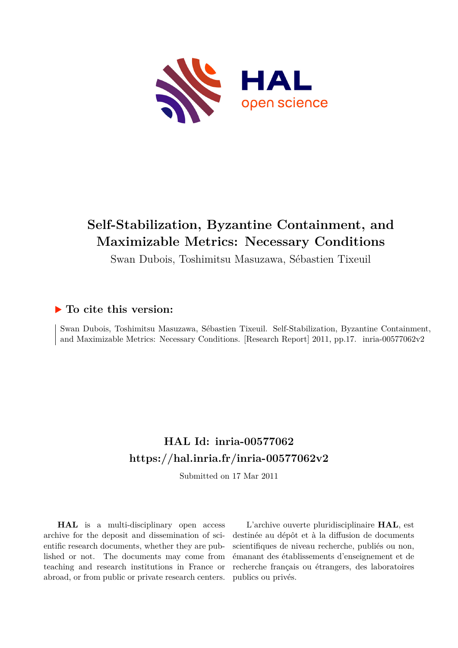

# **Self-Stabilization, Byzantine Containment, and Maximizable Metrics: Necessary Conditions**

Swan Dubois, Toshimitsu Masuzawa, Sébastien Tixeuil

# **To cite this version:**

Swan Dubois, Toshimitsu Masuzawa, Sébastien Tixeuil. Self-Stabilization, Byzantine Containment, and Maximizable Metrics: Necessary Conditions. [Research Report] 2011, pp.17. inria-00577062v2

# **HAL Id: inria-00577062 <https://hal.inria.fr/inria-00577062v2>**

Submitted on 17 Mar 2011

**HAL** is a multi-disciplinary open access archive for the deposit and dissemination of scientific research documents, whether they are published or not. The documents may come from teaching and research institutions in France or abroad, or from public or private research centers.

L'archive ouverte pluridisciplinaire **HAL**, est destinée au dépôt et à la diffusion de documents scientifiques de niveau recherche, publiés ou non, émanant des établissements d'enseignement et de recherche français ou étrangers, des laboratoires publics ou privés.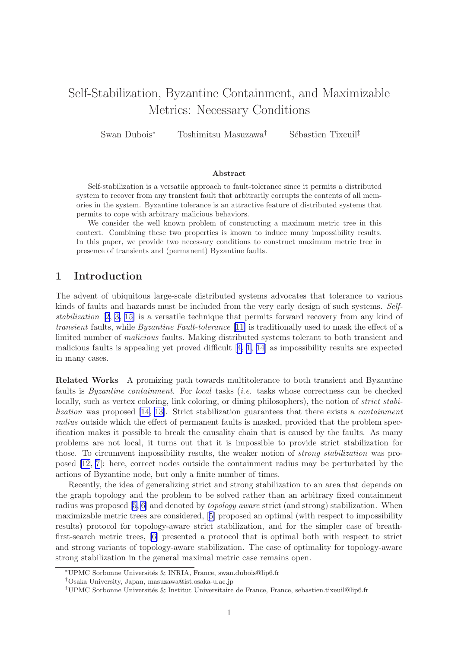# Self-Stabilization, Byzantine Containment, and Maximizable Metrics: Necessary Conditions

Swan Dubois<sup>∗</sup> Toshimitsu Masuzawa<sup>†</sup> Sébastien Tixeuil<sup>‡</sup>

#### Abstract

Self-stabilization is a versatile approach to fault-tolerance since it permits a distributed system to recover from any transient fault that arbitrarily corrupts the contents of all memories in the system. Byzantine tolerance is an attractive feature of distributed systems that permits to cope with arbitrary malicious behaviors.

We consider the well known problem of constructing a maximum metric tree in this context. Combining these two properties is known to induce many impossibility results. In this paper, we provide two necessary conditions to construct maximum metric tree in presence of transients and (permanent) Byzantine faults.

## 1 Introduction

The advent of ubiquitous large-scale distributed systems advocates that tolerance to various kinds of faults and hazards must be included from the very early design of such systems. *Selfstabilization* [[2](#page-16-0), [3,](#page-16-0) [15\]](#page-17-0) is a versatile technique that permits forward recovery from any kind of *transient* faults, while *Byzantine Fault-tolerance* [\[11\]](#page-17-0) is traditionally used to mask the effect of a limited number of *malicious* faults. Making distributed systems tolerant to both transient and malicious faults is appealing yet proved difficult [\[4, 1,](#page-16-0) [14\]](#page-17-0) as impossibility results are expected in many cases.

Related Works A promizing path towards multitolerance to both transient and Byzantine faults is *Byzantine containment*. For *local* tasks (*i.e.* tasks whose correctness can be checked locally, such as vertex coloring, link coloring, or dining philosophers), the notion of *strict stabilization* was proposed [\[14](#page-17-0), [13](#page-17-0)]. Strict stabilization guarantees that there exists a *containment radius* outside which the effect of permanent faults is masked, provided that the problem specification makes it possible to break the causality chain that is caused by the faults. As many problems are not local, it turns out that it is impossible to provide strict stabilization for those. To circumvent impossibility results, the weaker notion of *strong stabilization* was proposed [\[12](#page-17-0), [7\]](#page-17-0): here, correct nodes outside the containment radius may be perturbated by the actions of Byzantine node, but only a finite number of times.

Recently, the idea of generalizing strict and strong stabilization to an area that depends on the graph topology and the problem to be solved rather than an arbitrary fixed containment radius was proposed [\[5, 6\]](#page-16-0) and denoted by *topology aware* strict (and strong) stabilization. When maximizable metric trees are considered,[[5](#page-16-0)] proposed an optimal (with respect to impossibility results) protocol for topology-aware strict stabilization, and for the simpler case of breathfirst-search metric trees, [\[6\]](#page-16-0) presented a protocol that is optimal both with respect to strict and strong variants of topology-aware stabilization. The case of optimality for topology-aware strong stabilization in the general maximal metric case remains open.

<sup>∗</sup>UPMC Sorbonne Universit´es & INRIA, France, swan.dubois@lip6.fr

<sup>†</sup>Osaka University, Japan, masuzawa@ist.osaka-u.ac.jp

<sup>&</sup>lt;sup>‡</sup>UPMC Sorbonne Universités & Institut Universitaire de France, France, sebastien.tixeuil@lip6.fr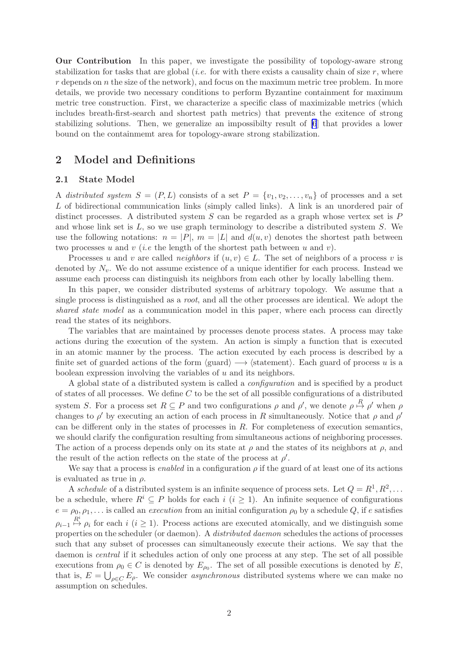Our Contribution In this paper, we investigate the possibility of topology-aware strong stabilization for tasks that are global *(i.e.* for with there exists a causality chain of size  $r$ , where  $r$  depends on  $n$  the size of the network), and focus on the maximum metric tree problem. In more details, we provide two necessary conditions to perform Byzantine containment for maximum metric tree construction. First, we characterize a specific class of maximizable metrics (which includes breath-first-search and shortest path metrics) that prevents the exitence of strong stabilizing solutions. Then, we generalize an impossibilty result of [\[6](#page-16-0)] that provides a lower bound on the containmemt area for topology-aware strong stabilization.

## 2 Model and Definitions

### 2.1 State Model

A *distributed system*  $S = (P, L)$  consists of a set  $P = \{v_1, v_2, \ldots, v_n\}$  of processes and a set L of bidirectional communication links (simply called links). A link is an unordered pair of distinct processes. A distributed system  $S$  can be regarded as a graph whose vertex set is  $P$ and whose link set is  $L$ , so we use graph terminology to describe a distributed system  $S$ . We use the following notations:  $n = |P|$ ,  $m = |L|$  and  $d(u, v)$  denotes the shortest path between two processes u and v (*i.e* the length of the shortest path between u and v).

Processes u and v are called *neighbors* if  $(u, v) \in L$ . The set of neighbors of a process v is denoted by  $N_v$ . We do not assume existence of a unique identifier for each process. Instead we assume each process can distinguish its neighbors from each other by locally labelling them.

In this paper, we consider distributed systems of arbitrary topology. We assume that a single process is distinguished as a *root*, and all the other processes are identical. We adopt the *shared state model* as a communication model in this paper, where each process can directly read the states of its neighbors.

The variables that are maintained by processes denote process states. A process may take actions during the execution of the system. An action is simply a function that is executed in an atomic manner by the process. The action executed by each process is described by a finite set of guarded actions of the form  $\langle \text{guard} \rangle \longrightarrow \langle \text{statement} \rangle$ . Each guard of process u is a boolean expression involving the variables of  $u$  and its neighbors.

A global state of a distributed system is called a *configuration* and is specified by a product of states of all processes. We define  $C$  to be the set of all possible configurations of a distributed system S. For a process set  $R \subseteq P$  and two configurations  $\rho$  and  $\rho'$ , we denote  $\rho \stackrel{R}{\mapsto} \rho'$  when  $\rho$ changes to  $\rho'$  by executing an action of each process in R simultaneously. Notice that  $\rho$  and  $\rho'$ can be different only in the states of processes in  $R$ . For completeness of execution semantics, we should clarify the configuration resulting from simultaneous actions of neighboring processes. The action of a process depends only on its state at  $\rho$  and the states of its neighbors at  $\rho$ , and the result of the action reflects on the state of the process at  $\rho'$ .

We say that a process is *enabled* in a configuration  $\rho$  if the guard of at least one of its actions is evaluated as true in  $\rho$ .

A *schedule* of a distributed system is an infinite sequence of process sets. Let  $Q = R^1, R^2, \ldots$ be a schedule, where  $R^i \subseteq P$  holds for each i  $(i \geq 1)$ . An infinite sequence of configurations  $e = \rho_0, \rho_1, \ldots$  is called an *execution* from an initial configuration  $\rho_0$  by a schedule Q, if e satisfies  $\rho_{i-1} \stackrel{R^i}{\mapsto} \rho_i$  for each  $i$  ( $i \geq 1$ ). Process actions are executed atomically, and we distinguish some properties on the scheduler (or daemon). A *distributed daemon* schedules the actions of processes such that any subset of processes can simultaneously execute their actions. We say that the daemon is *central* if it schedules action of only one process at any step. The set of all possible executions from  $\rho_0 \in C$  is denoted by  $E_{\rho_0}$ . The set of all possible executions is denoted by E, that is,  $E = \bigcup_{\rho \in C} E_{\rho}$ . We consider *asynchronous* distributed systems where we can make no assumption on schedules.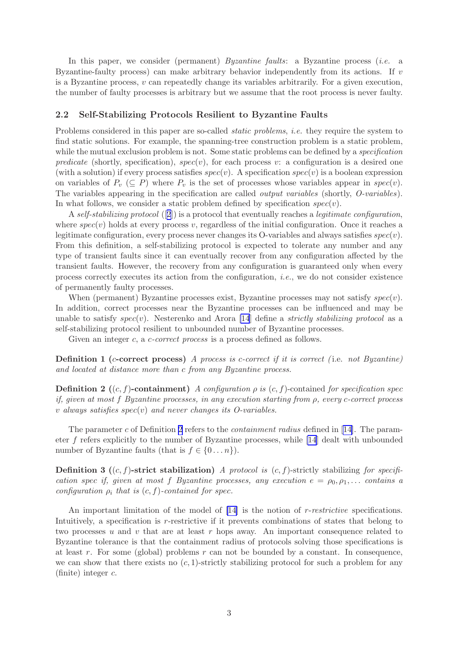In this paper, we consider (permanent) *Byzantine faults*: a Byzantine process (*i.e.* a Byzantine-faulty process) can make arbitrary behavior independently from its actions. If  $v$ is a Byzantine process,  $v$  can repeatedly change its variables arbitrarily. For a given execution, the number of faulty processes is arbitrary but we assume that the root process is never faulty.

### 2.2 Self-Stabilizing Protocols Resilient to Byzantine Faults

Problems considered in this paper are so-called *static problems*, *i.e.* they require the system to find static solutions. For example, the spanning-tree construction problem is a static problem, while the mutual exclusion problem is not. Some static problems can be defined by a *specification predicate* (shortly, specification),  $spec(v)$ , for each process v: a configuration is a desired one (with a solution) if every process satisfies  $spec(v)$ . A specification  $spec(v)$  is a boolean expression on variables of  $P_v \subseteq P$ ) where  $P_v$  is the set of processes whose variables appear in spec(v). The variables appearing in the specification are called *output variables* (shortly, *O-variables*). In what follows, we consider a static problem defined by specification  $spec(v)$ .

A *self-stabilizing protocol* ([[2](#page-16-0)]) is a protocol that eventually reaches a *legitimate configuration*, where  $spec(v)$  holds at every process v, regardless of the initial configuration. Once it reaches a legitimate configuration, every process never changes its O-variables and always satisfies  $spec(v)$ . From this definition, a self-stabilizing protocol is expected to tolerate any number and any type of transient faults since it can eventually recover from any configuration affected by the transient faults. However, the recovery from any configuration is guaranteed only when every process correctly executes its action from the configuration, *i.e.*, we do not consider existence of permanently faulty processes.

When (permanent) Byzantine processes exist, Byzantine processes may not satisfy  $spec(v)$ . In addition, correct processes near the Byzantine processes can be influenced and may be unable to satisfy spec(v). Nesterenko and Arora [\[14](#page-17-0)] define a *strictly stabilizing protocol* as a self-stabilizing protocol resilient to unbounded number of Byzantine processes.

Given an integer c, a c-correct process is a process defined as follows.

Definition 1 (c-correct process) *A process is* c*-correct if it is correct (* i.e. *not Byzantine) and located at distance more than* c *from any Byzantine process.*

**Definition 2**  $((c, f)$ -containment) *A configuration*  $\rho$  *is*  $(c, f)$ -contained *for specification spec if, given at most* f *Byzantine processes, in any execution starting from* ρ*, every* c*-correct process* v *always satisfies* spec(v) *and never changes its O-variables.*

The parameter c of Definition 2 refers to the *containment radius* defined in[[14\]](#page-17-0). The parameter f refers explicitly to the number of Byzantine processes, while [\[14](#page-17-0)] dealt with unbounded number of Byzantine faults (that is  $f \in \{0 \dots n\}$ ).

Definition 3 ((c, f)-strict stabilization) *A protocol is* (c, f)-strictly stabilizing *for specification* spec *if, given at most* f *Byzantine* processes, any execution  $e = \rho_0, \rho_1, \ldots$  contains a *configuration*  $\rho_i$  *that is*  $(c, f)$ *-contained for spec.* 

An important limitation of the model of [\[14\]](#page-17-0) is the notion of r-*restrictive* specifications. Intuitively, a specification is r-restrictive if it prevents combinations of states that belong to two processes  $u$  and  $v$  that are at least  $r$  hops away. An important consequence related to Byzantine tolerance is that the containment radius of protocols solving those specifications is at least r. For some (global) problems r can not be bounded by a constant. In consequence, we can show that there exists no  $(c, 1)$ -strictly stabilizing protocol for such a problem for any (finite) integer c.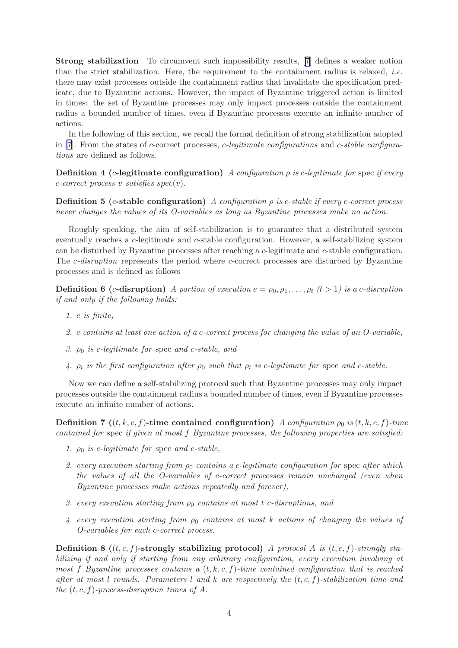Strong stabilization To circumvent such impossibility results,[[7](#page-17-0)] defines a weaker notion than the strict stabilization. Here, the requirement to the containment radius is relaxed, *i.e.* there may exist processes outside the containment radius that invalidate the specification predicate, due to Byzantine actions. However, the impact of Byzantine triggered action is limited in times: the set of Byzantine processes may only impact processes outside the containment radius a bounded number of times, even if Byzantine processes execute an infinite number of actions.

In the following of this section, we recall the formal definition of strong stabilization adopted in [\[7\]](#page-17-0). From the states of c-correct processes, c*-legitimate configurations* and c*-stable configurations* are defined as follows.

Definition 4 (c-legitimate configuration) *A configuration* ρ *is* c*-legitimate for* spec *if every* c*-correct process* v *satisfies* spec(v)*.*

Definition 5 (c-stable configuration) *A configuration* ρ *is* c*-stable if every* c*-correct process never changes the values of its O-variables as long as Byzantine processes make no action.*

Roughly speaking, the aim of self-stabilization is to guarantee that a distributed system eventually reaches a c-legitimate and c-stable configuration. However, a self-stabilizing system can be disturbed by Byzantine processes after reaching a c-legitimate and c-stable configuration. The *c*-disruption represents the period where *c*-correct processes are disturbed by Byzantine processes and is defined as follows

**Definition 6 (c-disruption)** *A portion of execution*  $e = \rho_0, \rho_1, \ldots, \rho_t$  ( $t > 1$ ) is a c-disruption *if and only if the following holds:*

- *1.* e *is finite,*
- *2.* e *contains at least one action of a* c*-correct process for changing the value of an O-variable,*
- *3.* ρ0 *is* c*-legitimate for* spec *and* c*-stable, and*
- 4.  $\rho_t$  is the first configuration after  $\rho_0$  such that  $\rho_t$  is c-legitimate for spec and c-stable.

Now we can define a self-stabilizing protocol such that Byzantine processes may only impact processes outside the containment radius a bounded number of times, even if Byzantine processes execute an infinite number of actions.

**Definition 7** ((t, k, c, f)-time contained configuration) *A configuration*  $\rho_0$  *is* (t, k, c, f)-time *contained for* spec *if given at most* f *Byzantine processes, the following properties are satisfied:*

- *1.* ρ0 *is* c*-legitimate for* spec *and* c*-stable,*
- 2. every execution starting from  $ρ_0$  contains a c-legitimate configuration for spec after which *the values of all the O-variables of* c*-correct processes remain unchanged (even when Byzantine processes make actions repeatedly and forever),*
- *3. every execution starting from* ρ0 *contains at most* t c*-disruptions, and*
- *4. every execution starting from* ρ0 *contains at most* k *actions of changing the values of O-variables for each* c*-correct process.*

Definition 8 ((t, c, f)-strongly stabilizing protocol) *A protocol* A *is* (t, c, f)*-strongly stabilizing if and only if starting from any arbitrary configuration, every execution involving at most* f *Byzantine processes contains a*  $(t, k, c, f)$ *-time contained configuration that is reached after at most* l *rounds. Parameters* l *and* k *are respectively the* (t, c, f)*-stabilization time and the*  $(t, c, f)$ *-process-disruption times of A.*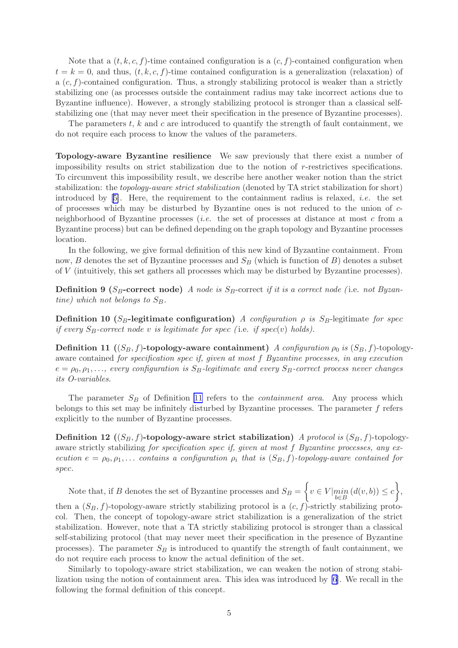Note that a  $(t, k, c, f)$ -time contained configuration is a  $(c, f)$ -contained configuration when  $t = k = 0$ , and thus,  $(t, k, c, f)$ -time contained configuration is a generalization (relaxation) of a  $(c, f)$ -contained configuration. Thus, a strongly stabilizing protocol is weaker than a strictly stabilizing one (as processes outside the containment radius may take incorrect actions due to Byzantine influence). However, a strongly stabilizing protocol is stronger than a classical selfstabilizing one (that may never meet their specification in the presence of Byzantine processes).

The parameters  $t, k$  and  $c$  are introduced to quantify the strength of fault containment, we do not require each process to know the values of the parameters.

Topology-aware Byzantine resilience We saw previously that there exist a number of impossibility results on strict stabilization due to the notion of  $r$ -restrictives specifications. To circumvent this impossibility result, we describe here another weaker notion than the strict stabilization: the *topology-aware strict stabilization* (denoted by TA strict stabilization for short) introduced by [\[5\]](#page-16-0). Here, the requirement to the containment radius is relaxed, *i.e.* the set of processes which may be disturbed by Byzantine ones is not reduced to the union of  $c$ neighborhood of Byzantine processes (*i.e.* the set of processes at distance at most c from a Byzantine process) but can be defined depending on the graph topology and Byzantine processes location.

In the following, we give formal definition of this new kind of Byzantine containment. From now, B denotes the set of Byzantine processes and  $S_B$  (which is function of B) denotes a subset of V (intuitively, this set gathers all processes which may be disturbed by Byzantine processes).

**Definition 9** ( $S_B$ -correct node) *A node is*  $S_B$ -correct *if it is a correct node* (i.e. *not Byzantine)* which not belongs to  $S_B$ .

**Definition 10** ( $S_B$ -legitimate configuration) *A configuration*  $\rho$  *is*  $S_B$ -legitimate *for* spec *if* every  $S_B$ -correct node v *is legitimate for spec* (*i.e. if spec(v) holds*).

**Definition 11** ( $(S_B, f)$ -topology-aware containment) *A configuration*  $\rho_0$  *is*  $(S_B, f)$ -topologyaware contained *for specification* spec *if, given at most* f *Byzantine processes, in any execution*  $e = \rho_0, \rho_1, \ldots$ , every configuration is  $S_B$ -legitimate and every  $S_B$ -correct process never changes *its O-variables.*

The parameter  $S_B$  of Definition 11 refers to the *containment area*. Any process which belongs to this set may be infinitely disturbed by Byzantine processes. The parameter f refers explicitly to the number of Byzantine processes.

**Definition 12**  $((S_B, f)$ -topology-aware strict stabilization) *A protocol is*  $(S_B, f)$ -topologyaware strictly stabilizing *for specification* spec *if, given at most* f *Byzantine processes, any execution*  $e = \rho_0, \rho_1, \ldots$  *contains* a configuration  $\rho_i$  that is  $(S_B, f)$ -topology-aware contained for spec*.*

Note that, if B denotes the set of Byzantine processes and  $S_B = \left\{ v \in V | \min_{b \in B} \left( d(v, b) \right) \leq c \right\},\$ then a  $(S_B, f)$ -topology-aware strictly stabilizing protocol is a  $(c, f)$ -strictly stabilizing protocol. Then, the concept of topology-aware strict stabilization is a generalization of the strict stabilization. However, note that a TA strictly stabilizing protocol is stronger than a classical self-stabilizing protocol (that may never meet their specification in the presence of Byzantine processes). The parameter  $S_B$  is introduced to quantify the strength of fault containment, we do not require each process to know the actual definition of the set.

Similarly to topology-aware strict stabilization, we can weaken the notion of strong stabilization using the notion of containment area. This idea was introduced by [\[6\]](#page-16-0). We recall in the following the formal definition of this concept.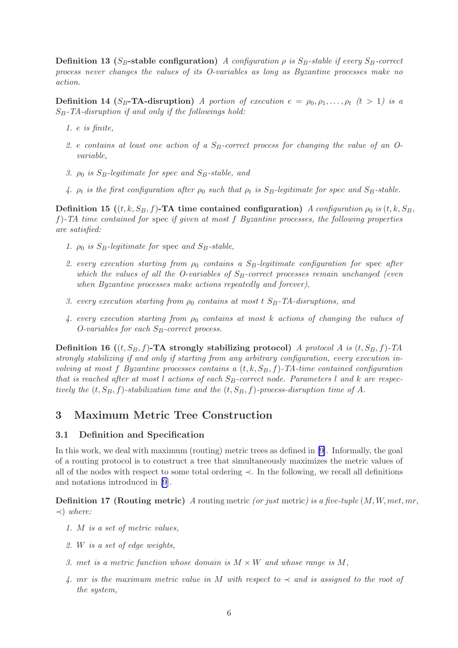**Definition 13** ( $S_B$ -stable configuration) *A configuration*  $\rho$  *is*  $S_B$ -stable *if every*  $S_B$ -correct *process never changes the values of its O-variables as long as Byzantine processes make no action.*

**Definition 14 (S<sub>B</sub>-TA-disruption)** *A portion of execution*  $e = \rho_0, \rho_1, \ldots, \rho_t$  ( $t > 1$ ) is a SB*-TA-disruption if and only if the followings hold:*

- *1.* e *is finite,*
- 2. e contains at least one action of a S<sub>B</sub>-correct process for changing the value of an O*variable,*
- *3.*  $\rho_0$  *is*  $S_B$ -legitimate for spec and  $S_B$ -stable, and
- 4.  $\rho_t$  is the first configuration after  $\rho_0$  such that  $\rho_t$  is  $S_B$ -legitimate for spec and  $S_B$ -stable.

Definition 15  $((t, k, S_B, f)$ -TA time contained configuration) *A configuration*  $\rho_0$  *is*  $(t, k, S_B, f)$ f)*-TA time contained for* spec *if given at most* f *Byzantine processes, the following properties are satisfied:*

- 1.  $\rho_0$  *is*  $S_B$ -legitimate for spec and  $S_B$ -stable,
- 2. every execution starting from  $ρ_0$  contains a S<sub>B</sub>-legitimate configuration for spec after *which the values of all the O-variables of* SB*-correct processes remain unchanged (even when Byzantine processes make actions repeatedly and forever),*
- *3. every execution starting from*  $ρ_0$  *contains at most t S<sub>B</sub>-TA-disruptions, and*
- *4. every execution starting from* ρ0 *contains at most* k *actions of changing the values of O-variables for each*  $S_B$ -correct process.

**Definition 16** ((t,  $S_B$ , f)-**TA** strongly stabilizing protocol) *A protocol A is* (t,  $S_B$ , f)-*TA strongly stabilizing if and only if starting from any arbitrary configuration, every execution involving at most* f *Byzantine processes contains a*  $(t, k, S_B, f)$ *-TA-time contained configuration that is reached after at most* l actions of each  $S_B$ -correct node. Parameters l and k are respec*tively the*  $(t, S_B, f)$ *-stabilization time and the*  $(t, S_B, f)$ *-process-disruption time of* A.

## 3 Maximum Metric Tree Construction

## 3.1 Definition and Specification

In this work, we deal with maximum (routing) metric trees as defined in [\[9\]](#page-17-0). Informally, the goal of a routing protocol is to construct a tree that simultaneously maximizes the metric values of all of the nodes with respect to some total ordering ≺. In the following, we recall all definitions and notations introduced in [\[9\]](#page-17-0).

Definition 17 (Routing metric) *A* routing metric *(or just* metric*) is a five-tuple* (M, W, met, mr, ≺) *where:*

- *1.* M *is a set of metric values,*
- *2.* W *is a set of edge weights,*
- *3. met is a metric function whose domain is*  $M \times W$  *and whose range is*  $M$ ,
- *4.* mr *is the maximum metric value in* M *with respect to* ≺ *and is assigned to the root of the system,*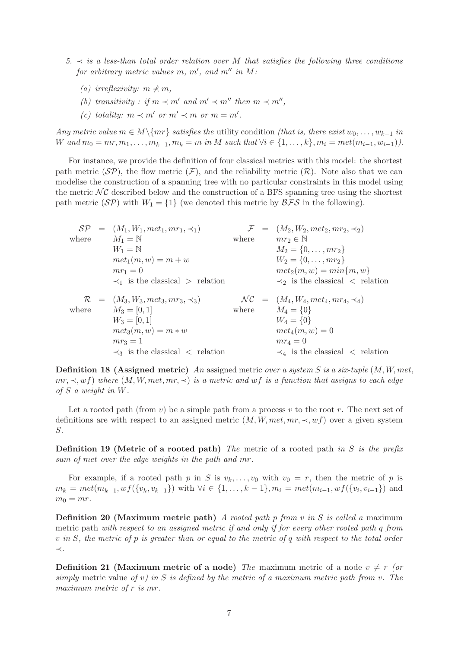- *5.*  $\prec$  *is a less-than total order relation over* M *that satisfies the following three conditions for arbitrary metric values* m*,* m′ *, and* m′′ *in* M*:*
	- *(a) irreflexivity:*  $m \nless m$ ,
	- *(b)* transitivity : if  $m \prec m'$  and  $m' \prec m''$  then  $m \prec m''$ ,
	- *(c)* totality:  $m \prec m'$  *or*  $m' \prec m$  *or*  $m = m'$ .

*Any metric value*  $m \in M\setminus\{mr\}$  *satisfies the utility condition <i>(that is, there exist*  $w_0, \ldots, w_{k-1}$  *in* W and  $m_0 = mr, m_1, \ldots, m_{k-1}, m_k = m$  in M such that  $\forall i \in \{1, \ldots, k\}, m_i = met(m_{i-1}, w_{i-1})$ .

For instance, we provide the definition of four classical metrics with this model: the shortest path metric  $(S\mathcal{P})$ , the flow metric  $(\mathcal{F})$ , and the reliability metric  $(\mathcal{R})$ . Note also that we can modelise the construction of a spanning tree with no particular constraints in this model using the metric  $\mathcal{NC}$  described below and the construction of a BFS spanning tree using the shortest path metric (SP) with  $W_1 = \{1\}$  (we denoted this metric by  $\beta \mathcal{FS}$  in the following).

|       | $\mathcal{S}\mathcal{P} = (M_1, W_1, met_1, mr_1, \prec_1)$ |       | $\mathcal{F} = (M_2, W_2, met_2, mr_2, \prec_2)$  |
|-------|-------------------------------------------------------------|-------|---------------------------------------------------|
| where | $M_1 = N$                                                   | where | $mr_2 \in \mathbb{N}$                             |
|       | $W_1 = N$                                                   |       | $M_2 = \{0, \ldots, mr_2\}$                       |
|       | $met_1(m, w) = m + w$                                       |       | $W_2 = \{0, \ldots, mr_2\}$                       |
|       | $mr_1 = 0$                                                  |       | $met_2(m, w) = min\{m, w\}$                       |
|       | $\prec_1$ is the classical $>$ relation                     |       | $\prec_2$ is the classical $\prec$ relation       |
|       |                                                             |       |                                                   |
|       | $\mathcal{R} = (M_3, W_3, met_3, mr_3, \prec_3)$            |       | $\mathcal{NC} = (M_4, W_4, met_4, mr_4, \prec_4)$ |
| where | $M_3 = [0, 1]$                                              | where | $M_4 = \{0\}$                                     |
|       | $W_3 = [0, 1]$                                              |       | $W_4 = \{0\}$                                     |
|       | $met_3(m, w) = m * w$                                       |       | $met_4(m, w) = 0$                                 |
|       | $mr_3=1$                                                    |       | $mr_4=0$                                          |

Definition 18 (Assigned metric) *An* assigned metric *over a system* S *is a six-tuple* (M, W, met, mr, ≺, wf) *where* (M, W, met, mr, ≺) *is a metric and* wf *is a function that assigns to each edge of* S *a weight in* W*.*

Let a rooted path (from  $v$ ) be a simple path from a process v to the root r. The next set of definitions are with respect to an assigned metric  $(M, W, met, mr, \prec, wf)$  over a given system S.

Definition 19 (Metric of a rooted path) *The* metric of a rooted path *in* S *is the prefix sum of* met *over the edge weights in the path and* mr*.*

For example, if a rooted path p in S is  $v_k, \ldots, v_0$  with  $v_0 = r$ , then the metric of p is  $m_k = met(m_{k-1}, wf(\{v_k,v_{k-1}\})$  with  $\forall i \in \{1,\ldots,k-1\}, m_i = met(m_{i-1},wf(\{v_i,v_{i-1}\})$  and  $m_0 = mr$ .

Definition 20 (Maximum metric path) *A rooted path* p *from* v *in* S *is called a* maximum metric path *with respect to an assigned metric if and only if for every other rooted path* q *from* v *in* S*, the metric of* p *is greater than or equal to the metric of* q *with respect to the total order* ≺*.*

**Definition 21 (Maximum metric of a node)** *The* maximum metric of a node  $v \neq r$  *(or*) *simply* metric value *of* v*) in* S *is defined by the metric of a maximum metric path from* v*. The maximum metric of* r *is* mr*.*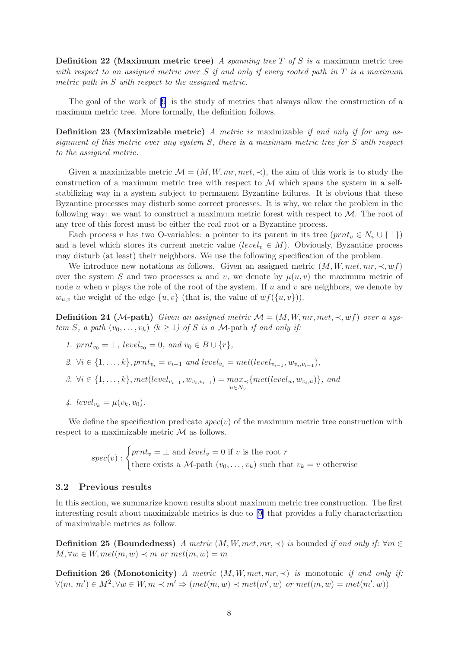Definition 22 (Maximum metric tree) *A spanning tree* T *of* S *is a* maximum metric tree *with respect to an assigned metric over* S *if and only if every rooted path in* T *is a maximum metric path in* S *with respect to the assigned metric.*

The goal of the work of [\[9](#page-17-0)] is the study of metrics that always allow the construction of a maximum metric tree. More formally, the definition follows.

Definition 23 (Maximizable metric) *A metric is* maximizable *if and only if for any assignment of this metric over any system* S*, there is a maximum metric tree for* S *with respect to the assigned metric.*

Given a maximizable metric  $\mathcal{M} = (M, W, mr, met, \prec)$ , the aim of this work is to study the construction of a maximum metric tree with respect to  $\mathcal M$  which spans the system in a selfstabilizing way in a system subject to permanent Byzantine failures. It is obvious that these Byzantine processes may disturb some correct processes. It is why, we relax the problem in the following way: we want to construct a maximum metric forest with respect to  $\mathcal{M}$ . The root of any tree of this forest must be either the real root or a Byzantine process.

Each process v has two O-variables: a pointer to its parent in its tree  $(pnt_v \in N_v \cup \{\perp\})$ and a level which stores its current metric value (level<sub>v</sub>  $\in M$ ). Obviously, Byzantine process may disturb (at least) their neighbors. We use the following specification of the problem.

We introduce new notations as follows. Given an assigned metric  $(M, W, met, mr, \prec, wf)$ over the system S and two processes u and v, we denote by  $\mu(u, v)$  the maximum metric of node u when v plays the role of the root of the system. If u and v are neighbors, we denote by  $w_{u,v}$  the weight of the edge  $\{u,v\}$  (that is, the value of  $wf(\{u,v\})$ ).

**Definition 24 (M-path)** *Given an assigned metric*  $\mathcal{M} = (M, W, mr, met, \prec, wf)$  *over a system S*, *a path*  $(v_0, \ldots, v_k)$   $(k \ge 1)$  *of S is a M*-path *if and only if:* 

\n- 1. 
$$
prnt_{v_0} = \bot
$$
,  $level_{v_0} = 0$ , and  $v_0 \in B \cup \{r\}$ ,
\n- 2.  $\forall i \in \{1, \ldots, k\}$ ,  $prnt_{v_i} = v_{i-1}$  and  $level_{v_i} = met(level_{v_{i-1}}, w_{v_i, v_{i-1}})$ ,
\n- 3.  $\forall i \in \{1, \ldots, k\}$ ,  $met(level_{v_{i-1}}, w_{v_i, v_{i-1}}) = max_{u \in N_v} \{met(level_u, w_{v_i, u})\}$ , and  $u \in N_v$ .
\n

*4.*  $level_{v_k} = \mu(v_k, v_0)$ .

We define the specification predicate  $spec(v)$  of the maximum metric tree construction with respect to a maximizable metric M as follows.

$$
spec(v) : \begin{cases} prnt_v = \bot \text{ and } level_v = 0 \text{ if } v \text{ is the root } r \\ \text{there exists a } \mathcal{M}\text{-path } (v_0, \dots, v_k) \text{ such that } v_k = v \text{ otherwise} \end{cases}
$$

## 3.2 Previous results

In this section, we summarize known results about maximum metric tree construction. The first interesting result about maximizable metrics is due to [\[9\]](#page-17-0) that provides a fully characterization of maximizable metrics as follow.

**Definition 25 (Boundedness)** *A metric*  $(M, W, met, mr, \prec)$  *is* bounded *if and only if:*  $\forall m \in$  $M, \forall w \in W, met(m, w) \prec m \text{ or } met(m, w) = m$ 

**Definition 26 (Monotonicity)** *A metric*  $(M, W, met, mr, \prec)$  *is* monotonic *if and only if:*  $\forall (m, m') \in M^2, \forall w \in W, m \prec m' \Rightarrow (met(m, w) \prec met(m', w) \text{ or } met(m, w) = met(m', w))$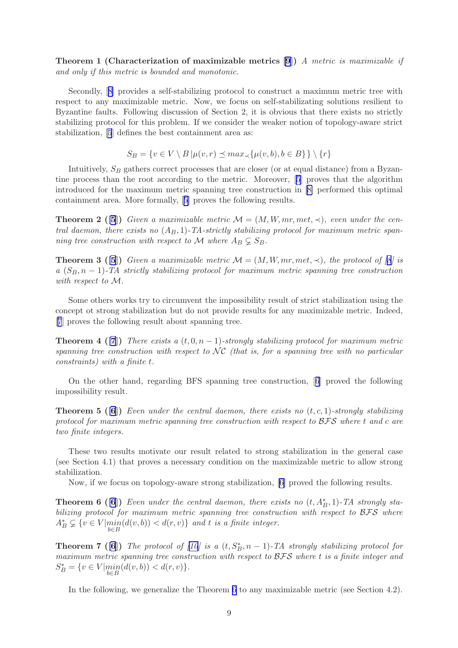<span id="page-9-0"></span>Theorem 1 (Characterization of maximizable metrics [\[9](#page-17-0)]) *A metric is maximizable if and only if this metric is bounded and monotonic.*

Secondly,[[8](#page-17-0)] provides a self-stabilizing protocol to construct a maximum metric tree with respect to any maximizable metric. Now, we focus on self-stabilizating solutions resilient to Byzantine faults. Following discussion of Section 2, it is obvious that there exists no strictly stabilizing protocol for this problem. If we consider the weaker notion of topology-aware strict stabilization,[[5](#page-16-0)] defines the best containment area as:

$$
S_B = \{ v \in V \setminus B \mid \mu(v, r) \le \max_{\prec} \{ \mu(v, b), b \in B \} \} \setminus \{r\}
$$

Intuitively,  $S_B$  gathers correct processes that are closer (or at equal distance) from a Byzantine process than the root according to the metric. Moreover,[[5](#page-16-0)] proves that the algorithm introduced for the maximum metric spanning tree construction in [\[8\]](#page-17-0) performed this optimal containment area. More formally,[[5](#page-16-0)] proves the following results.

**Theorem 2** ([\[5](#page-16-0)]) *Given a maximizable metric*  $\mathcal{M} = (M, W, mr, met, \prec)$ *, even under the cen*tral daemon, there exists no  $(A_B, 1)$ -TA-strictly stabilizing protocol for maximum metric span*ning tree construction with respect to* M *where*  $A_B \subsetneq S_B$ .

**Theorem3** ([\[5](#page-16-0)]) *Given a maximizable metric*  $\mathcal{M} = (M, W, mr, met, \prec)$ *, the protocol of* [[8](#page-17-0)] is  $a(S_B, n-1)$ *-TA strictly stabilizing protocol for maximum metric spanning tree construction with respect to* M*.*

Some others works try to circumvent the impossibility result of strict stabilization using the concept ot strong stabilization but do not provide results for any maximizable metric. Indeed, [\[7](#page-17-0)] proves the following result about spanning tree.

**Theorem 4 ([\[7](#page-17-0)])** *There exists a*  $(t, 0, n - 1)$ *-strongly stabilizing protocol for maximum metric* spanning tree construction with respect to  $NC$  (that is, for a spanning tree with no particular *constraints) with a finite* t*.*

On the other hand, regarding BFS spanning tree construction,[[6](#page-16-0)] proved the following impossibility result.

**Theorem 5** ([\[6](#page-16-0)]) *Even under the central daemon, there exists no*  $(t, c, 1)$ *-strongly stabilizing protocol for maximum metric spanning tree construction with respect to* BFS *where* t *and* c *are two finite integers.*

These two results motivate our result related to strong stabilization in the general case (see Section 4.1) that proves a necessary condition on the maximizable metric to allow strong stabilization.

Now, if we focus on topology-aware strong stabilization, [\[6\]](#page-16-0) proved the following results.

**Theorem 6 ([\[6](#page-16-0)])** *Even under the central daemon, there exists no*  $(t, A^*_B, 1)$ -TA *strongly stabilizing protocol for maximum metric spanning tree construction with respect to* BFS *where*  $A_B^* \subsetneq \{v \in V | min_{b \in B} (d(v, b)) < d(r, v)\}\$ and *t is a finite integer.* 

**Theorem7** ([\[6](#page-16-0)]) *The protocol of*  $[10]$  $[10]$  $[10]$  is a  $(t, S_B^*, n-1)$ -TA strongly stabilizing protocol for *maximum metric spanning tree construction with respect to* BFS *where* t *is a finite integer and*  $S_B^* = \{v \in V | \min_{b \in B} (d(v, b)) < d(r, v) \}.$ 

In the following, we generalize the Theorem 6 to any maximizable metric (see Section 4.2).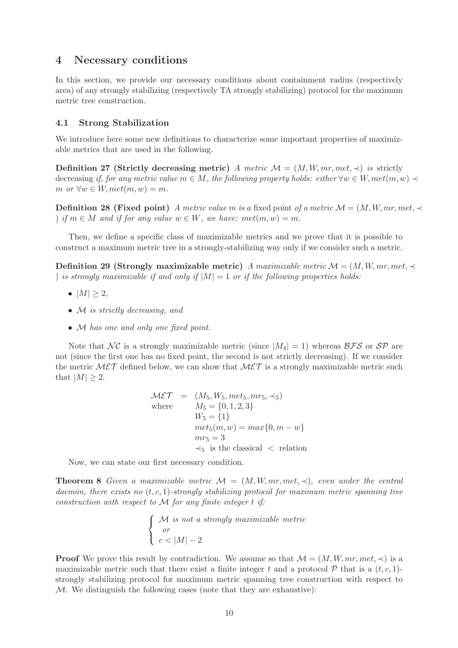## <span id="page-10-0"></span>4 Necessary conditions

In this section, we provide our necessary conditions about containment radius (respectively area) of any strongly stabilizing (respectively TA strongly stabilizing) protocol for the maximum metric tree construction.

### 4.1 Strong Stabilization

We introduce here some new definitions to characterize some important properties of maximizable metrics that are used in the following.

**Definition 27 (Strictly decreasing metric)** *A metric*  $\mathcal{M} = (M, W, mr, met, \prec)$  *is* strictly decreasing *if, for any metric value*  $m \in M$ *, the following property holds: either*  $\forall w \in W$ *, met* $(m, w) \prec$  $m \text{ or } \forall w \in W, met(m, w) = m.$ 

**Definition 28 (Fixed point)** *A metric value m is a* fixed point *of a metric*  $M = (M, W, mr, met, \prec$ ) *if*  $m \in M$  *and if for any value*  $w \in W$ *, we have:*  $met(m, w) = m$ *.* 

Then, we define a specific class of maximizable metrics and we prove that it is possible to construct a maximum metric tree in a strongly-stabilizing way only if we consider such a metric.

**Definition 29 (Strongly maximizable metric)** *A maximizable metric*  $\mathcal{M} = (M, W, mr, met, \prec$ ) *is strongly maximizable if and only if*  $|M| = 1$  *or if the following properties holds:* 

- $|M| > 2$ ,
- M *is strictly decreasing, and*
- M *has one and only one fixed point.*

Note that NC is a strongly maximizable metric (since  $|M_4| = 1$ ) whereas  $\beta \mathcal{F} \mathcal{S}$  or  $\mathcal{S} \mathcal{P}$  are not (since the first one has no fixed point, the second is not strictly decreasing). If we consider the metric  $MET$  defined below, we can show that  $MET$  is a strongly maximizable metric such that  $|M| > 2$ .

$$
\mathcal{MET} = (M_5, W_5, met_5, mr_5, \prec_5)
$$
  
where 
$$
M_5 = \{0, 1, 2, 3\}
$$

$$
W_5 = \{1\}
$$

$$
met_5(m, w) = max\{0, m - w\}
$$

$$
mr_5 = 3
$$

$$
\prec_5
$$
 is the classical 
$$
<
$$
 relation

Now, we can state our first necessary condition.

**Theorem 8** Given a maximizable metric  $\mathcal{M} = (M, W, mr, met, \prec)$ , even under the central *daemon, there exists no* (t, c, 1)*-strongly stabilizing protocol for maximum metric spanning tree construction with respect to* M *for any finite integer* t *if:*

> $\sqrt{ }$  $\int$  $\mathcal{L}$ M *is not a strongly maximizable metric or*  $c < |M| - 2$

**Proof** We prove this result by contradiction. We assume so that  $\mathcal{M} = (M, W, mr, met, \prec)$  is a maximizable metric such that there exist a finite integer t and a protocol  $P$  that is a  $(t, c, 1)$ strongly stabilizing protocol for maximum metric spanning tree construction with respect to M. We distinguish the following cases (note that they are exhaustive):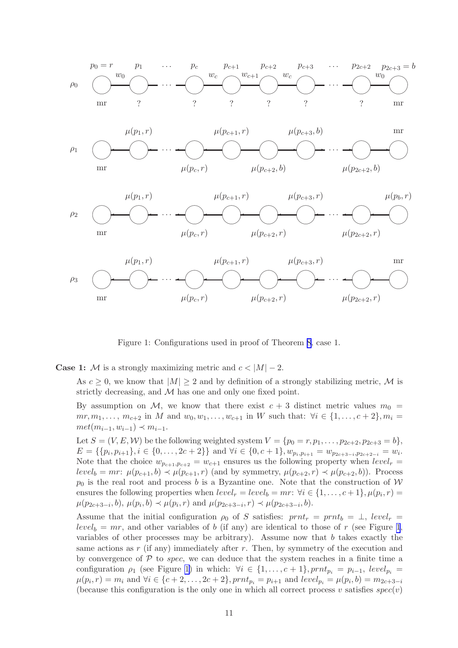<span id="page-11-0"></span>

Figure 1: Configurations used in proof of Theorem [8](#page-10-0), case 1.

**Case 1:** M is a strongly maximizing metric and  $c < |M| - 2$ .

As  $c \geq 0$ , we know that  $|M| \geq 2$  and by definition of a strongly stabilizing metric, M is strictly decreasing, and M has one and only one fixed point.

By assumption on M, we know that there exist  $c + 3$  distinct metric values  $m_0 =$  $mr, m_1, \ldots, m_{c+2}$  in M and  $w_0, w_1, \ldots, w_{c+1}$  in W such that:  $\forall i \in \{1, \ldots, c+2\}, m_i =$  $met(m_{i-1}, w_{i-1}) \prec m_{i-1}.$ 

Let  $S = (V, E, W)$  be the following weighted system  $V = \{p_0 = r, p_1, \ldots, p_{2c+2}, p_{2c+3} = b\},\$  $E = \{\{p_i, p_{i+1}\}, i \in \{0, \ldots, 2c+2\}\}\$ and  $\forall i \in \{0, c+1\}, w_{p_i, p_{i+1}} = w_{p_{2c+3-i}, p_{2c+2-i}} = w_i.$ Note that the choice  $w_{p_{c+1},p_{c+2}} = w_{c+1}$  ensures us the following property when  $level_r =$ level<sub>b</sub> = mr:  $\mu(p_{c+1}, b) \prec \mu(p_{c+1}, r)$  (and by symmetry,  $\mu(p_{c+2}, r) \prec \mu(p_{c+2}, b)$ ). Process  $p_0$  is the real root and process b is a Byzantine one. Note that the construction of W ensures the following properties when  $level_r = level_b = mr$ :  $\forall i \in \{1, ..., c+1\}, \mu(p_i, r) =$  $\mu(p_{2c+3-i}, b), \mu(p_i, b) \prec \mu(p_i, r)$  and  $\mu(p_{2c+3-i}, r) \prec \mu(p_{2c+3-i}, b)$ .

Assume that the initial configuration  $\rho_0$  of S satisfies:  $prnt_r = prnt_b = \perp$ , level<sub>r</sub> =  $level_b = mr$ , and other variables of b (if any) are identical to those of r (see Figure 1, variables of other processes may be arbitrary). Assume now that  $b$  takes exactly the same actions as  $r$  (if any) immediately after  $r$ . Then, by symmetry of the execution and by convergence of  $P$  to spec, we can deduce that the system reaches in a finite time a configuration  $\rho_1$  (see Figure 1) in which:  $\forall i \in \{1, ..., c+1\}$ ,  $prnt_{p_i} = p_{i-1}$ ,  $level_{p_i} =$  $\mu(p_i, r) = m_i$  and  $\forall i \in \{c+2, \ldots, 2c+2\}, prnt_{p_i} = p_{i+1}$  and  $level_{p_i} = \mu(p_i, b) = m_{2c+3-i}$ (because this configuration is the only one in which all correct process v satisfies  $spec(v)$ )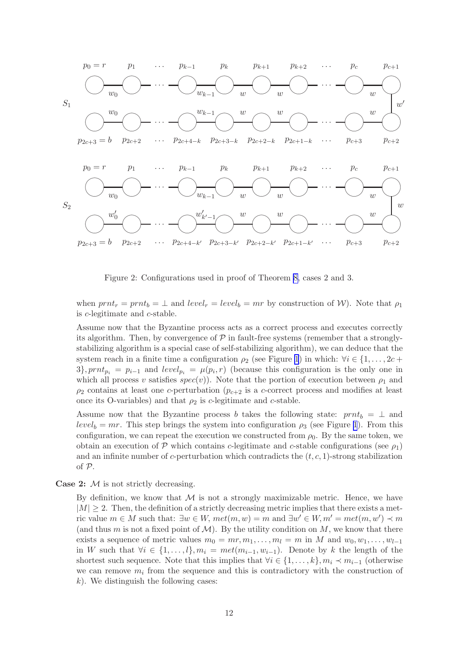<span id="page-12-0"></span>

Figure 2: Configurations used in proof of Theorem [8,](#page-10-0) cases 2 and 3.

when  $prnt_r = prnt_b = \perp$  and  $level_r = level_b = mr$  by construction of W). Note that  $\rho_1$ is c-legitimate and c-stable.

Assume now that the Byzantine process acts as a correct process and executes correctly its algorithm. Then, by convergence of  $P$  in fault-free systems (remember that a stronglystabilizing algorithm is a special case of self-stabilizing algorithm), we can deduce that the system reach in a finite time a configuration  $\rho_2$  (see Figure [1](#page-11-0)) in which:  $\forall i \in \{1, \ldots, 2c + \ldots\}$  $3\}$ ,  $prnt_{p_i} = p_{i-1}$  and  $level_{p_i} = \mu(p_i, r)$  (because this configuration is the only one in which all process v satisfies  $spec(v)$ . Note that the portion of execution between  $\rho_1$  and  $\rho_2$  contains at least one c-perturbation  $(p_{c+2}$  is a c-correct process and modifies at least once its O-variables) and that  $\rho_2$  is c-legitimate and c-stable.

Assume now that the Byzantine process b takes the following state:  $prnt_b = \perp$  and  $level_b = mr$ . This step brings the system into configuration  $\rho_3$  (see Figure [1](#page-11-0)). From this configuration, we can repeat the execution we constructed from  $\rho_0$ . By the same token, we obtain an execution of P which contains c-legitimate and c-stable configurations (see  $\rho_1$ ) and an infinite number of c-perturbation which contradicts the  $(t, c, 1)$ -strong stabilization of P.

**Case 2:**  $M$  is not strictly decreasing.

By definition, we know that  $\mathcal M$  is not a strongly maximizable metric. Hence, we have  $|M| \geq 2$ . Then, the definition of a strictly decreasing metric implies that there exists a metric value  $m \in M$  such that:  $\exists w \in W$ ,  $met(m, w) = m$  and  $\exists w' \in W$ ,  $m' = met(m, w') \prec m$ (and thus m is not a fixed point of  $\mathcal{M}$ ). By the utility condition on M, we know that there exists a sequence of metric values  $m_0 = mr, m_1, \ldots, m_l = m$  in M and  $w_0, w_1, \ldots, w_{l-1}$ in W such that  $\forall i \in \{1, ..., l\}$ ,  $m_i = met(m_{i-1}, w_{i-1})$ . Denote by k the length of the shortest such sequence. Note that this implies that  $\forall i \in \{1, \ldots, k\}, m_i \prec m_{i-1}$  (otherwise we can remove  $m_i$  from the sequence and this is contradictory with the construction of  $k$ ). We distinguish the following cases: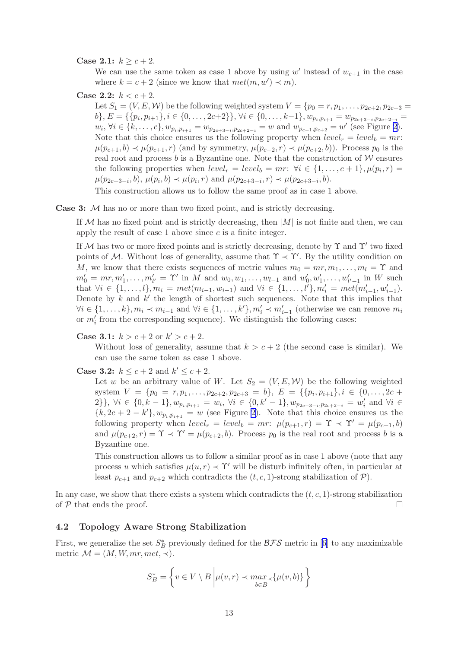**Case 2.1:**  $k \ge c+2$ .

We can use the same token as case 1 above by using  $w'$  instead of  $w_{c+1}$  in the case where  $k = c + 2$  (since we know that  $met(m, w') \prec m$ ).

Case 2.2:  $k < c + 2$ .

Let  $S_1 = (V, E, W)$  be the following weighted system  $V = \{p_0 = r, p_1, \ldots, p_{2c+2}, p_{2c+3} =$  $b\}, E = \{\{p_i, p_{i+1}\}, i \in \{0, \ldots, 2c+2\}\}, \forall i \in \{0, \ldots, k-1\}, w_{p_i, p_{i+1}} = w_{p_{2c+3-i}, p_{2c+2-i}} =$  $w_i, \forall i \in \{k, \ldots, c\}, w_{p_i, p_{i+1}} = w_{p_{2c+3-i}, p_{2c+2-i}} = w$  and  $w_{p_{c+1}, p_{c+2}} = w'$  (see Figure [2](#page-12-0)). Note that this choice ensures us the following property when  $level_r = level_b = mr$ :  $\mu(p_{c+1}, b) \prec \mu(p_{c+1}, r)$  (and by symmetry,  $\mu(p_{c+2}, r) \prec \mu(p_{c+2}, b)$ ). Process  $p_0$  is the real root and process b is a Byzantine one. Note that the construction of  $W$  ensures the following properties when  $level_r = level_b = mr: \forall i \in \{1, ..., c+1\}, \mu(p_i, r) =$  $\mu(p_{2c+3-i}, b), \mu(p_i, b) \prec \mu(p_i, r)$  and  $\mu(p_{2c+3-i}, r) \prec \mu(p_{2c+3-i}, b)$ .

This construction allows us to follow the same proof as in case 1 above.

**Case 3:**  $M$  has no or more than two fixed point, and is strictly decreasing.

If  $M$  has no fixed point and is strictly decreasing, then  $|M|$  is not finite and then, we can apply the result of case 1 above since  $c$  is a finite integer.

If M has two or more fixed points and is strictly decreasing, denote by  $\Upsilon$  and  $\Upsilon'$  two fixed points of M. Without loss of generality, assume that  $\Upsilon \prec \Upsilon'$ . By the utility condition on M, we know that there exists sequences of metric values  $m_0 = mr, m_1, \ldots, m_l = \Upsilon$  and  $m'_0 = mr, m'_1, \ldots, m'_{l'} = \Upsilon'$  in M and  $w_0, w_1, \ldots, w_{l-1}$  and  $w'_0, w'_1, \ldots, w'_{l'-1}$  in W such that  $\forall i \in \{1, ..., l\}$ ,  $m_i = met(m_{i-1}, w_{i-1})$  and  $\forall i \in \{1, ..., l'\}$ ,  $m'_i = met(m'_{i-1}, w'_{i-1})$ . Denote by  $k$  and  $k'$  the length of shortest such sequences. Note that this implies that  $\forall i \in \{1, \ldots, k\}, m_i \prec m_{i-1} \text{ and } \forall i \in \{1, \ldots, k'\}, m'_i \prec m'_{i-1} \text{ (otherwise we can remove } m_i$ or  $m'_i$  from the corresponding sequence). We distinguish the following cases:

**Case 3.1:**  $k > c + 2$  or  $k' > c + 2$ .

Without loss of generality, assume that  $k > c + 2$  (the second case is similar). We can use the same token as case 1 above.

**Case 3.2:**  $k \leq c + 2$  and  $k' \leq c + 2$ .

Let w be an arbitrary value of W. Let  $S_2 = (V, E, W)$  be the following weighted system  $V = \{p_0 = r, p_1, \ldots, p_{2c+2}, p_{2c+3} = b\}, E = \{\{p_i, p_{i+1}\}, i \in \{0, \ldots, 2c + b\}\}$ 2}},  $\forall i \in \{0, k-1\}$ ,  $w_{p_i, p_{i+1}} = w_i$ ,  $\forall i \in \{0, k'-1\}$ ,  $w_{p_{2c+3-i}, p_{2c+2-i}} = w'_i$  and  $\forall i \in$  ${k, 2c + 2 - k'}, w_{p_i, p_{i+1}} = w$  (see Figure [2\)](#page-12-0). Note that this choice ensures us the following property when  $level_r = level_b = mr: \mu(p_{c+1}, r) = \Upsilon \prec \Upsilon' = \mu(p_{c+1}, b)$ and  $\mu(p_{c+2}, r) = \Upsilon \prec \Upsilon' = \mu(p_{c+2}, b)$ . Process  $p_0$  is the real root and process b is a Byzantine one.

This construction allows us to follow a similar proof as in case 1 above (note that any process u which satisfies  $\mu(u, r) \prec \Upsilon'$  will be disturb infinitely often, in particular at least  $p_{c+1}$  and  $p_{c+2}$  which contradicts the  $(t, c, 1)$ -strong stabilization of  $\mathcal{P}$ ).

In any case, we show that there exists a system which contradicts the  $(t, c, 1)$ -strong stabilization of  $P$  that ends the proof.

### 4.2 Topology Aware Strong Stabilization

First,we generalize the set  $S_B^*$  previously defined for the  $\mathcal{BFS}$  metric in [[6](#page-16-0)] to any maximizable metric  $\mathcal{M} = (M, W, mr, met, \prec).$ 

$$
S_B^* = \left\{ v \in V \setminus B \middle| \mu(v, r) \prec \max_{b \in B} \left\{ \mu(v, b) \right\} \right\}
$$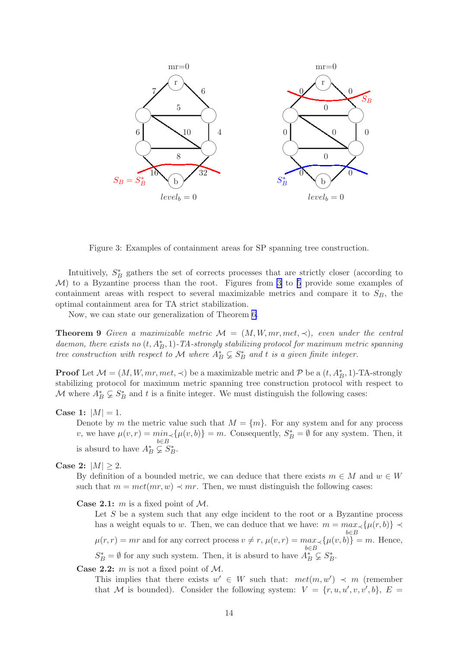<span id="page-14-0"></span>

Figure 3: Examples of containment areas for SP spanning tree construction.

Intuitively,  $S_B^*$  gathers the set of corrects processes that are strictly closer (according to M) to a Byzantine process than the root. Figures from 3 to [5](#page-16-0) provide some examples of containment areas with respect to several maximizable metrics and compare it to  $S_B$ , the optimal containment area for TA strict stabilization.

Now, we can state our generalization of Theorem [6.](#page-9-0)

**Theorem 9** Given a maximizable metric  $\mathcal{M} = (M, W, mr, met, \prec)$ , even under the central *daemon, there exists no*  $(t, A_B^*, 1)$ -TA-strongly stabilizing protocol for maximum metric spanning *tree construction with respect to*  $M$  *where*  $A_B^* \subsetneq S_B^*$  *and t is a given finite integer.* 

**Proof** Let  $\mathcal{M} = (M, W, mr, met, \prec)$  be a maximizable metric and  $\mathcal{P}$  be a  $(t, A_B^*, 1)$ -TA-strongly stabilizing protocol for maximum metric spanning tree construction protocol with respect to M where  $A_B^* \subsetneq S_B^*$  and t is a finite integer. We must distinguish the following cases:

Case 1:  $|M| = 1$ .

Denote by m the metric value such that  $M = \{m\}$ . For any system and for any process v, we have  $\mu(v,r) = \min_{b \in B}$  $\{\mu(v,b)\}=m.$  Consequently,  $S_B^*=\emptyset$  for any system. Then, it is absurd to have  $A_B^* \subsetneq S_B^*$ .

**Case 2:**  $|M| \ge 2$ .

By definition of a bounded metric, we can deduce that there exists  $m \in M$  and  $w \in W$ such that  $m = met(mr, w) \prec mr$ . Then, we must distinguish the following cases:

**Case 2.1:**  $m$  is a fixed point of  $M$ .

Let  $S$  be a system such that any edge incident to the root or a Byzantine process has a weight equals to w. Then, we can deduce that we have:  $m = max_{\prec} {\mu(r, b)} \prec$ b∈B  $\mu(r,r) = mr$  and for any correct process  $v \neq r$ ,  $\mu(v,r) = max_{b \in B} \lt \$  $\{\mu(v, b)\} = m$ . Hence,  $S_B^* = \emptyset$  for any such system. Then, it is absurd to have  $A_B^* \subsetneq S_B^*$ .

**Case 2.2:**  $m$  is not a fixed point of  $M$ .

This implies that there exists  $w' \in W$  such that:  $met(m, w') \prec m$  (remember that M is bounded). Consider the following system:  $V = \{r, u, u', v, v', b\}, E =$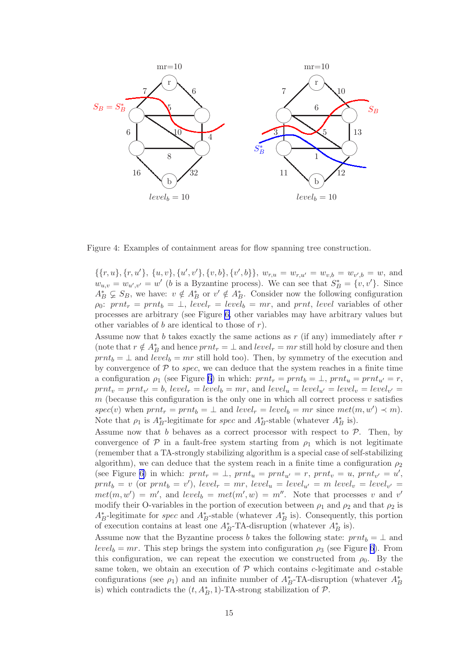

Figure 4: Examples of containment areas for flow spanning tree construction.

 $\{\{r, u\}, \{r, u'\}, \{u, v\}, \{u', v'\}, \{v, b\}, \{v', b\}\}, w_{r, u} = w_{r, u'} = w_{v, b} = w_{v', b} = w$ , and  $w_{u,v} = w_{u',v'} = w'$  (b is a Byzantine process). We can see that  $S_B^* = \{v, v'\}$ . Since  $A_B^* \subsetneq S_B$ , we have:  $v \notin A_B^*$  or  $v' \notin A_B^*$ . Consider now the following configuration  $\rho_0$ :  $prnt_r = prnt_b = \perp$ ,  $level_r = level_b = mr$ , and  $prnt$ , level variables of other processes are arbitrary (see Figure [6,](#page-17-0) other variables may have arbitrary values but other variables of b are identical to those of  $r$ ).

Assume now that b takes exactly the same actions as  $r$  (if any) immediately after  $r$ (note that  $r \notin A_B^*$  and hence  $prnt_r = \perp$  and  $level_r = mr$  still hold by closure and then  $prnt_b = \perp$  and  $level_b = mr$  still hold too). Then, by symmetry of the execution and by convergence of  $P$  to spec, we can deduce that the system reaches in a finite time a configuration  $\rho_1$  (see Figure [6](#page-17-0)) in which:  $prnt_r = prnt_b = \perp$ ,  $prnt_u = prnt_{u'} = r$ ,  $prnt_v = prnt_{v'} = b$ ,  $level_r = level_b = mr$ , and  $level_u = level_{u'} = level_v = level_{v'} =$  $m$  (because this configuration is the only one in which all correct process  $v$  satisfies  $spec(v)$  when  $prnt_r = prnt_b = \perp$  and  $level_r = level_b = mr$  since  $met(m, w') \prec m$ . Note that  $\rho_1$  is  $A_B^*$ -legitimate for *spec* and  $A_B^*$ -stable (whatever  $A_B^*$  is).

Assume now that b behaves as a correct processor with respect to  $P$ . Then, by convergence of P in a fault-free system starting from  $\rho_1$  which is not legitimate (remember that a TA-strongly stabilizing algorithm is a special case of self-stabilizing algorithm), we can deduce that the system reach in a finite time a configuration  $\rho_2$ (see Figure [6\)](#page-17-0) in which:  $prnt_r = \perp, prnt_u = prnt_{u'} = r, prnt_v = u, prnt_{v'} = u'$ ,  $prnt_b = v$  (or  $prnt_b = v'$ ),  $level_r = mr$ ,  $level_u = level_{u'} = m$   $level_v = level_{v'} =$  $met(m, w') = m'$ , and  $level_b = met(m', w) = m''$ . Note that processes v and v' modify their O-variables in the portion of execution between  $\rho_1$  and  $\rho_2$  and that  $\rho_2$  is  $A_B^*$ -legitimate for *spec* and  $A_B^*$ -stable (whatever  $A_B^*$  is). Consequently, this portion of execution contains at least one  $A_B^*$ -TA-disruption (whatever  $A_B^*$  is).

Assume now that the Byzantine process b takes the following state:  $prnt_b = \perp$  and  $level_b = mr$ . This step brings the system into configuration  $\rho_3$  (see Figure [6](#page-17-0)). From this configuration, we can repeat the execution we constructed from  $\rho_0$ . By the same token, we obtain an execution of  $P$  which contains c-legitimate and c-stable configurations (see  $\rho_1$ ) and an infinite number of  $A_B^*$ -TA-disruption (whatever  $A_B^*$ is) which contradicts the  $(t, A_B^*, 1)$ -TA-strong stabilization of  $P$ .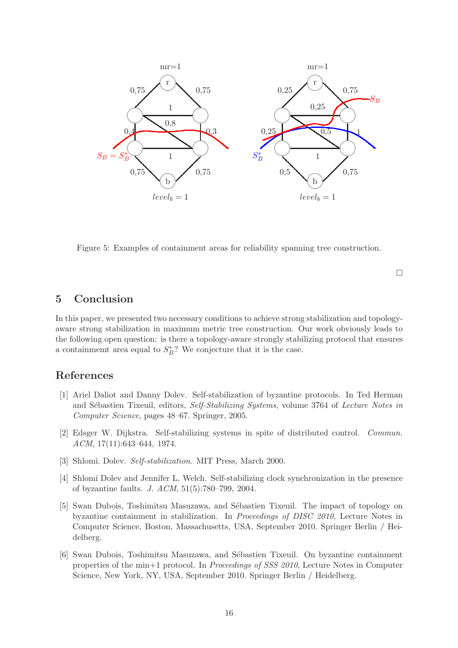<span id="page-16-0"></span>

Figure 5: Examples of containment areas for reliability spanning tree construction.

## 5 Conclusion

In this paper, we presented two necessary conditions to achieve strong stabilization and topologyaware strong stabilization in maximum metric tree construction. Our work obviously leads to the following open question: is there a topology-aware strongly stabilizing protocol that ensures a containment area equal to  $S_B^*$ ? We conjecture that it is the case.

## References

- [1] Ariel Daliot and Danny Dolev. Self-stabilization of byzantine protocols. In Ted Herman and Sébastien Tixeuil, editors, *Self-Stabilizing Systems*, volume 3764 of *Lecture Notes in Computer Science*, pages 48–67. Springer, 2005.
- [2] Edsger W. Dijkstra. Self-stabilizing systems in spite of distributed control. *Commun. ACM*, 17(11):643–644, 1974.
- [3] Shlomi. Dolev. *Self-stabilization*. MIT Press, March 2000.
- [4] Shlomi Dolev and Jennifer L. Welch. Self-stabilizing clock synchronization in the presence of byzantine faults. *J. ACM*, 51(5):780–799, 2004.
- [5] Swan Dubois, Toshimitsu Masuzawa, and Sébastien Tixeuil. The impact of topology on byzantine containment in stabilization. In *Proceedings of DISC 2010*, Lecture Notes in Computer Science, Boston, Massachusetts, USA, September 2010. Springer Berlin / Heidelberg.
- [6] Swan Dubois, Toshimitsu Masuzawa, and S´ebastien Tixeuil. On byzantine containment properties of the min+1 protocol. In *Proceedings of SSS 2010*, Lecture Notes in Computer Science, New York, NY, USA, September 2010. Springer Berlin / Heidelberg.